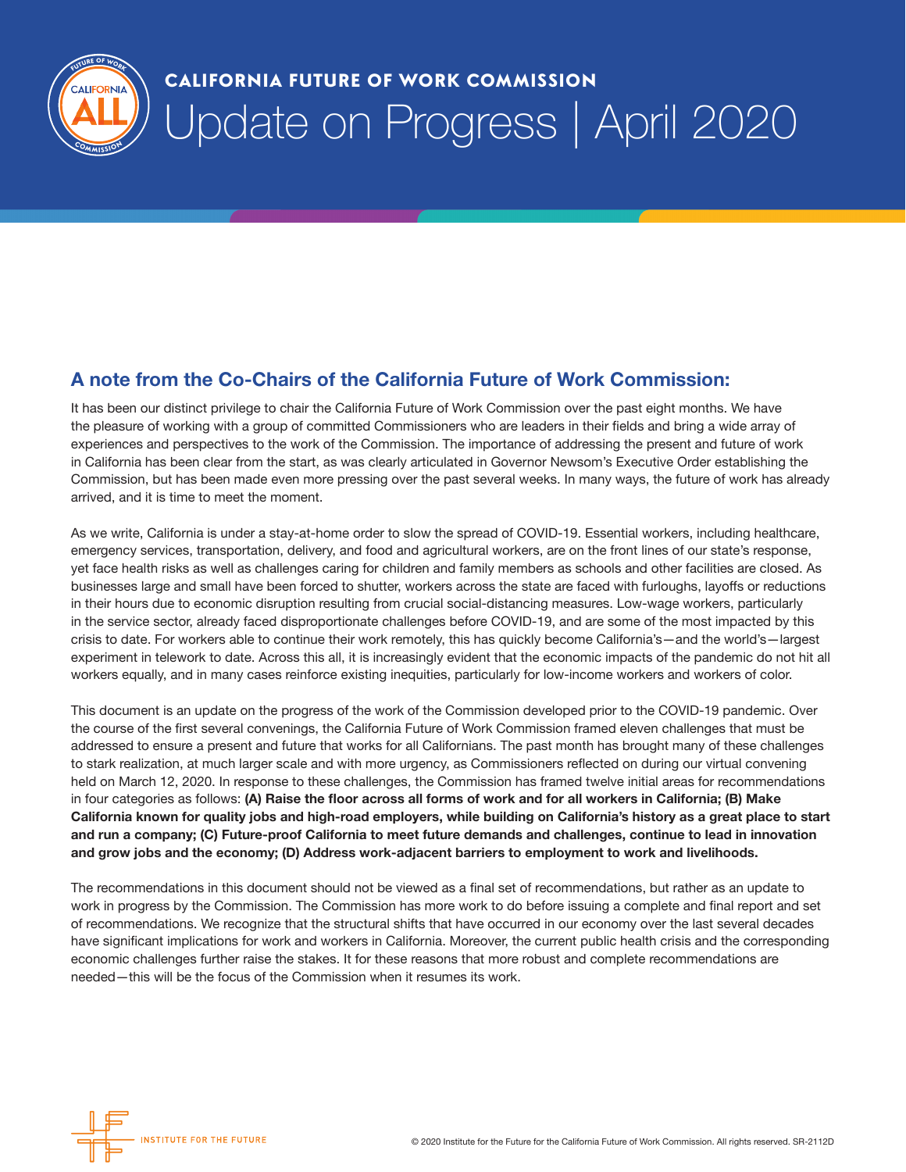

## CALIFORNIA FUTURE OF WORK COMMISSION Update on Progress | April 2020

#### A note from the Co-Chairs of the California Future of Work Commission:

It has been our distinct privilege to chair the California Future of Work Commission over the past eight months. We have the pleasure of working with a group of committed Commissioners who are leaders in their fields and bring a wide array of experiences and perspectives to the work of the Commission. The importance of addressing the present and future of work in California has been clear from the start, as was clearly articulated in Governor Newsom's Executive Order establishing the Commission, but has been made even more pressing over the past several weeks. In many ways, the future of work has already arrived, and it is time to meet the moment.

As we write, California is under a stay-at-home order to slow the spread of COVID-19. Essential workers, including healthcare, emergency services, transportation, delivery, and food and agricultural workers, are on the front lines of our state's response, yet face health risks as well as challenges caring for children and family members as schools and other facilities are closed. As businesses large and small have been forced to shutter, workers across the state are faced with furloughs, layoffs or reductions in their hours due to economic disruption resulting from crucial social-distancing measures. Low-wage workers, particularly in the service sector, already faced disproportionate challenges before COVID-19, and are some of the most impacted by this crisis to date. For workers able to continue their work remotely, this has quickly become California's—and the world's—largest experiment in telework to date. Across this all, it is increasingly evident that the economic impacts of the pandemic do not hit all workers equally, and in many cases reinforce existing inequities, particularly for low-income workers and workers of color.

This document is an update on the progress of the work of the Commission developed prior to the COVID-19 pandemic. Over the course of the first several convenings, the California Future of Work Commission framed eleven challenges that must be addressed to ensure a present and future that works for all Californians. The past month has brought many of these challenges to stark realization, at much larger scale and with more urgency, as Commissioners reflected on during our virtual convening held on March 12, 2020. In response to these challenges, the Commission has framed twelve initial areas for recommendations in four categories as follows: (A) Raise the floor across all forms of work and for all workers in California; (B) Make California known for quality jobs and high-road employers, while building on California's history as a great place to start and run a company; (C) Future-proof California to meet future demands and challenges, continue to lead in innovation and grow jobs and the economy; (D) Address work-adjacent barriers to employment to work and livelihoods.

The recommendations in this document should not be viewed as a final set of recommendations, but rather as an update to work in progress by the Commission. The Commission has more work to do before issuing a complete and final report and set of recommendations. We recognize that the structural shifts that have occurred in our economy over the last several decades have significant implications for work and workers in California. Moreover, the current public health crisis and the corresponding economic challenges further raise the stakes. It for these reasons that more robust and complete recommendations are needed—this will be the focus of the Commission when it resumes its work.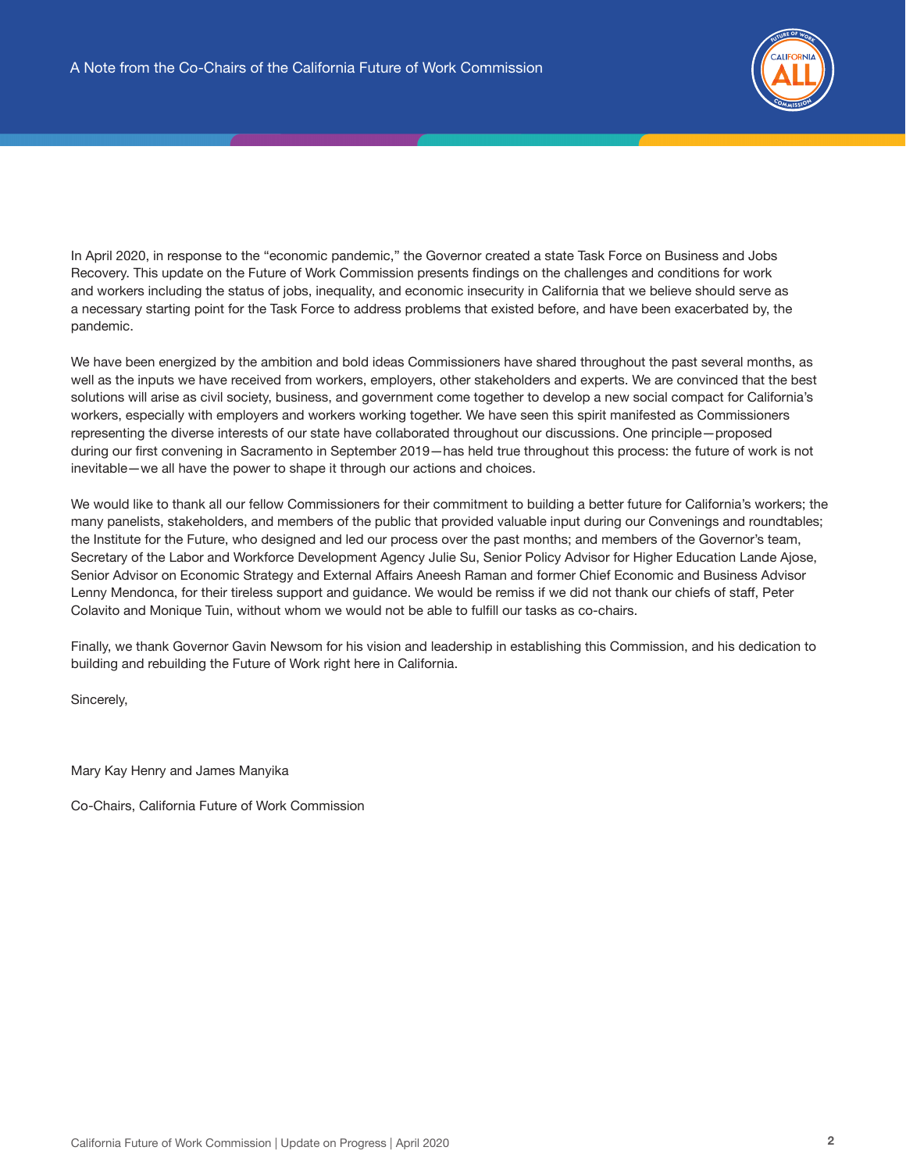

In April 2020, in response to the "economic pandemic," the Governor created a state Task Force on Business and Jobs Recovery. This update on the Future of Work Commission presents findings on the challenges and conditions for work and workers including the status of jobs, inequality, and economic insecurity in California that we believe should serve as a necessary starting point for the Task Force to address problems that existed before, and have been exacerbated by, the pandemic.

We have been energized by the ambition and bold ideas Commissioners have shared throughout the past several months, as well as the inputs we have received from workers, employers, other stakeholders and experts. We are convinced that the best solutions will arise as civil society, business, and government come together to develop a new social compact for California's workers, especially with employers and workers working together. We have seen this spirit manifested as Commissioners representing the diverse interests of our state have collaborated throughout our discussions. One principle—proposed during our first convening in Sacramento in September 2019—has held true throughout this process: the future of work is not inevitable—we all have the power to shape it through our actions and choices.

We would like to thank all our fellow Commissioners for their commitment to building a better future for California's workers; the many panelists, stakeholders, and members of the public that provided valuable input during our Convenings and roundtables; the Institute for the Future, who designed and led our process over the past months; and members of the Governor's team, Secretary of the Labor and Workforce Development Agency Julie Su, Senior Policy Advisor for Higher Education Lande Ajose, Senior Advisor on Economic Strategy and External Affairs Aneesh Raman and former Chief Economic and Business Advisor Lenny Mendonca, for their tireless support and guidance. We would be remiss if we did not thank our chiefs of staff, Peter Colavito and Monique Tuin, without whom we would not be able to fulfill our tasks as co-chairs.

Finally, we thank Governor Gavin Newsom for his vision and leadership in establishing this Commission, and his dedication to building and rebuilding the Future of Work right here in California.

Sincerely,

Mary Kay Henry and James Manyika

Co-Chairs, California Future of Work Commission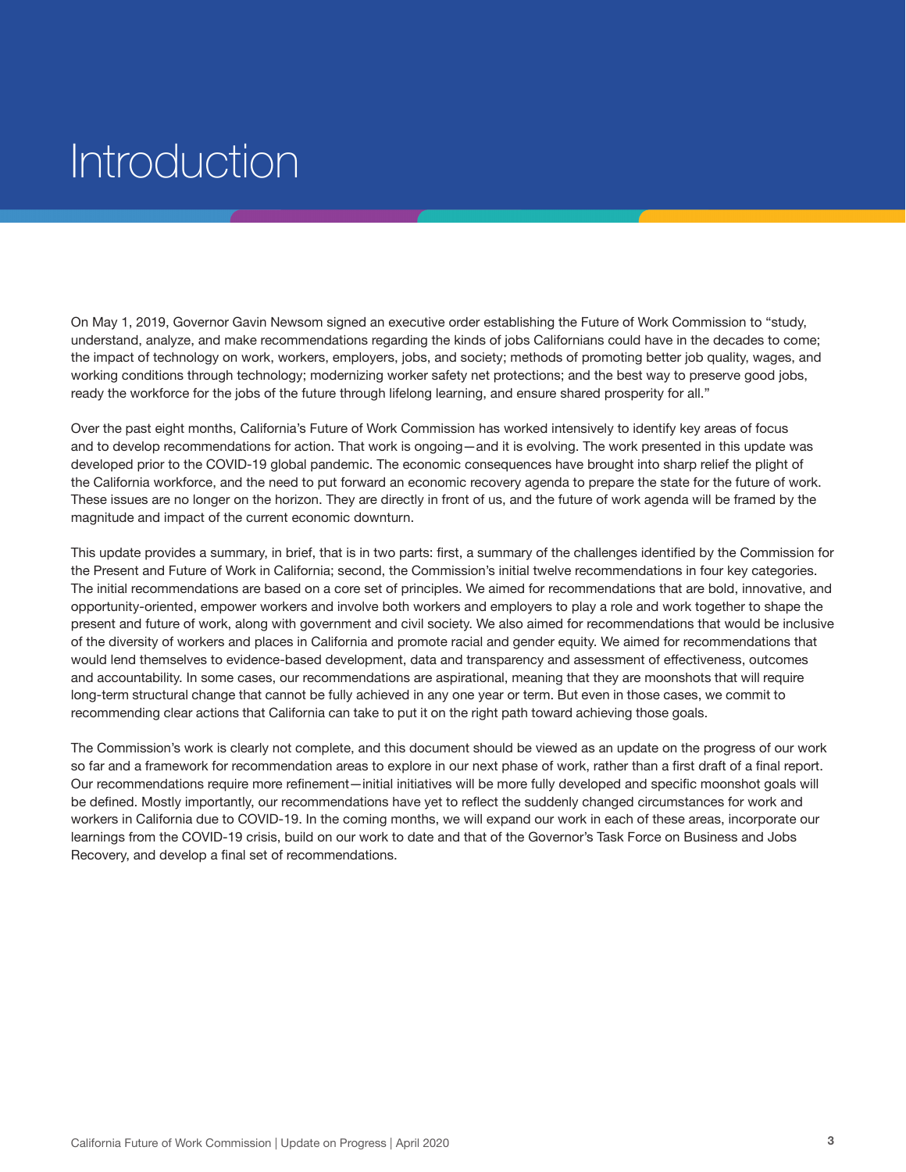# Introduction

On May 1, 2019, Governor Gavin Newsom signed an executive order establishing the Future of Work Commission to "study, understand, analyze, and make recommendations regarding the kinds of jobs Californians could have in the decades to come; the impact of technology on work, workers, employers, jobs, and society; methods of promoting better job quality, wages, and working conditions through technology; modernizing worker safety net protections; and the best way to preserve good jobs, ready the workforce for the jobs of the future through lifelong learning, and ensure shared prosperity for all."

Over the past eight months, California's Future of Work Commission has worked intensively to identify key areas of focus and to develop recommendations for action. That work is ongoing—and it is evolving. The work presented in this update was developed prior to the COVID-19 global pandemic. The economic consequences have brought into sharp relief the plight of the California workforce, and the need to put forward an economic recovery agenda to prepare the state for the future of work. These issues are no longer on the horizon. They are directly in front of us, and the future of work agenda will be framed by the magnitude and impact of the current economic downturn.

This update provides a summary, in brief, that is in two parts: first, a summary of the challenges identified by the Commission for the Present and Future of Work in California; second, the Commission's initial twelve recommendations in four key categories. The initial recommendations are based on a core set of principles. We aimed for recommendations that are bold, innovative, and opportunity-oriented, empower workers and involve both workers and employers to play a role and work together to shape the present and future of work, along with government and civil society. We also aimed for recommendations that would be inclusive of the diversity of workers and places in California and promote racial and gender equity. We aimed for recommendations that would lend themselves to evidence-based development, data and transparency and assessment of effectiveness, outcomes and accountability. In some cases, our recommendations are aspirational, meaning that they are moonshots that will require long-term structural change that cannot be fully achieved in any one year or term. But even in those cases, we commit to recommending clear actions that California can take to put it on the right path toward achieving those goals.

The Commission's work is clearly not complete, and this document should be viewed as an update on the progress of our work so far and a framework for recommendation areas to explore in our next phase of work, rather than a first draft of a final report. Our recommendations require more refinement—initial initiatives will be more fully developed and specific moonshot goals will be defined. Mostly importantly, our recommendations have yet to reflect the suddenly changed circumstances for work and workers in California due to COVID-19. In the coming months, we will expand our work in each of these areas, incorporate our learnings from the COVID-19 crisis, build on our work to date and that of the Governor's Task Force on Business and Jobs Recovery, and develop a final set of recommendations.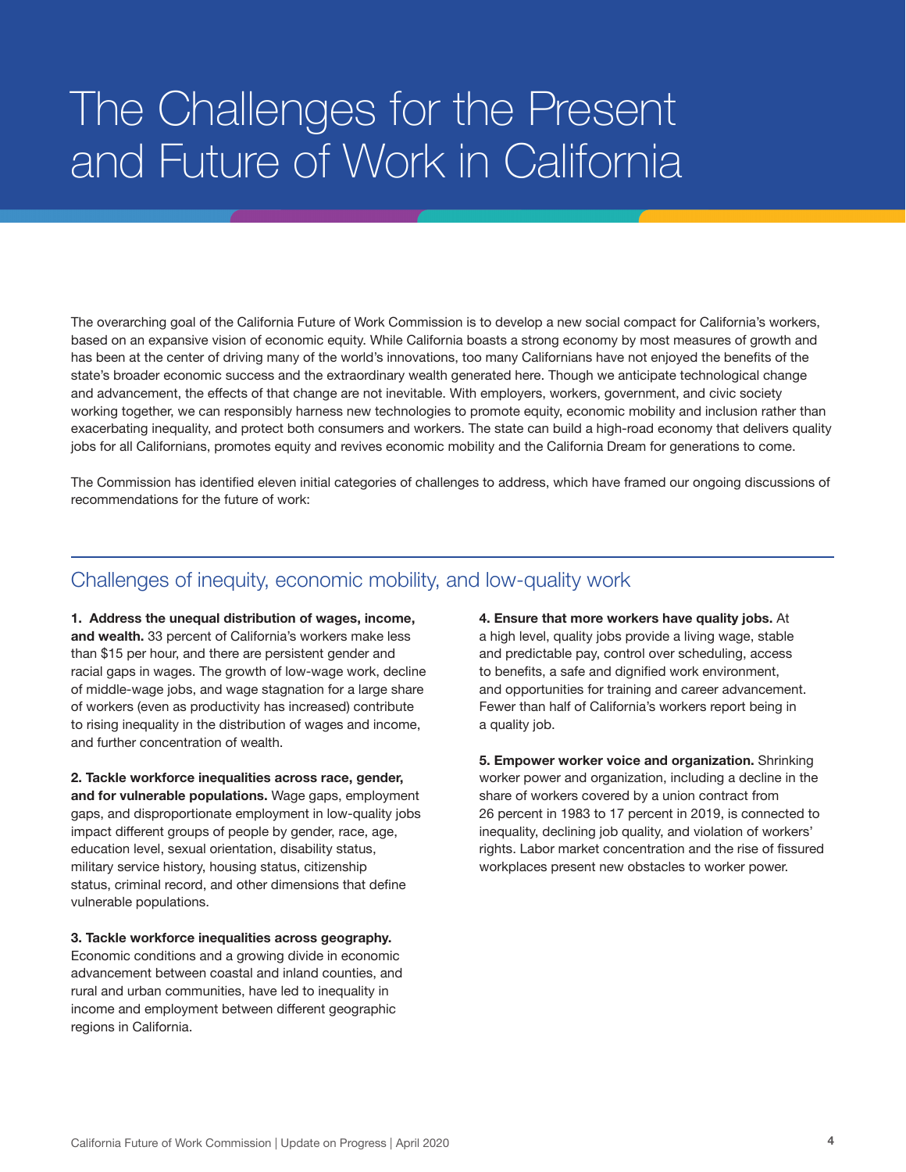## The Challenges for the Present and Future of Work in California

The overarching goal of the California Future of Work Commission is to develop a new social compact for California's workers, based on an expansive vision of economic equity. While California boasts a strong economy by most measures of growth and has been at the center of driving many of the world's innovations, too many Californians have not enjoyed the benefits of the state's broader economic success and the extraordinary wealth generated here. Though we anticipate technological change and advancement, the effects of that change are not inevitable. With employers, workers, government, and civic society working together, we can responsibly harness new technologies to promote equity, economic mobility and inclusion rather than exacerbating inequality, and protect both consumers and workers. The state can build a high-road economy that delivers quality jobs for all Californians, promotes equity and revives economic mobility and the California Dream for generations to come.

The Commission has identified eleven initial categories of challenges to address, which have framed our ongoing discussions of recommendations for the future of work:

### Challenges of inequity, economic mobility, and low-quality work

1. Address the unequal distribution of wages, income, and wealth. 33 percent of California's workers make less than \$15 per hour, and there are persistent gender and racial gaps in wages. The growth of low-wage work, decline of middle-wage jobs, and wage stagnation for a large share of workers (even as productivity has increased) contribute to rising inequality in the distribution of wages and income, and further concentration of wealth.

2. Tackle workforce inequalities across race, gender, and for vulnerable populations. Wage gaps, employment gaps, and disproportionate employment in low-quality jobs impact different groups of people by gender, race, age, education level, sexual orientation, disability status, military service history, housing status, citizenship status, criminal record, and other dimensions that define vulnerable populations.

3. Tackle workforce inequalities across geography. Economic conditions and a growing divide in economic advancement between coastal and inland counties, and rural and urban communities, have led to inequality in income and employment between different geographic regions in California.

4. Ensure that more workers have quality jobs. At a high level, quality jobs provide a living wage, stable and predictable pay, control over scheduling, access to benefits, a safe and dignified work environment, and opportunities for training and career advancement. Fewer than half of California's workers report being in a quality job.

5. Empower worker voice and organization. Shrinking worker power and organization, including a decline in the share of workers covered by a union contract from 26 percent in 1983 to 17 percent in 2019, is connected to inequality, declining job quality, and violation of workers' rights. Labor market concentration and the rise of fissured workplaces present new obstacles to worker power.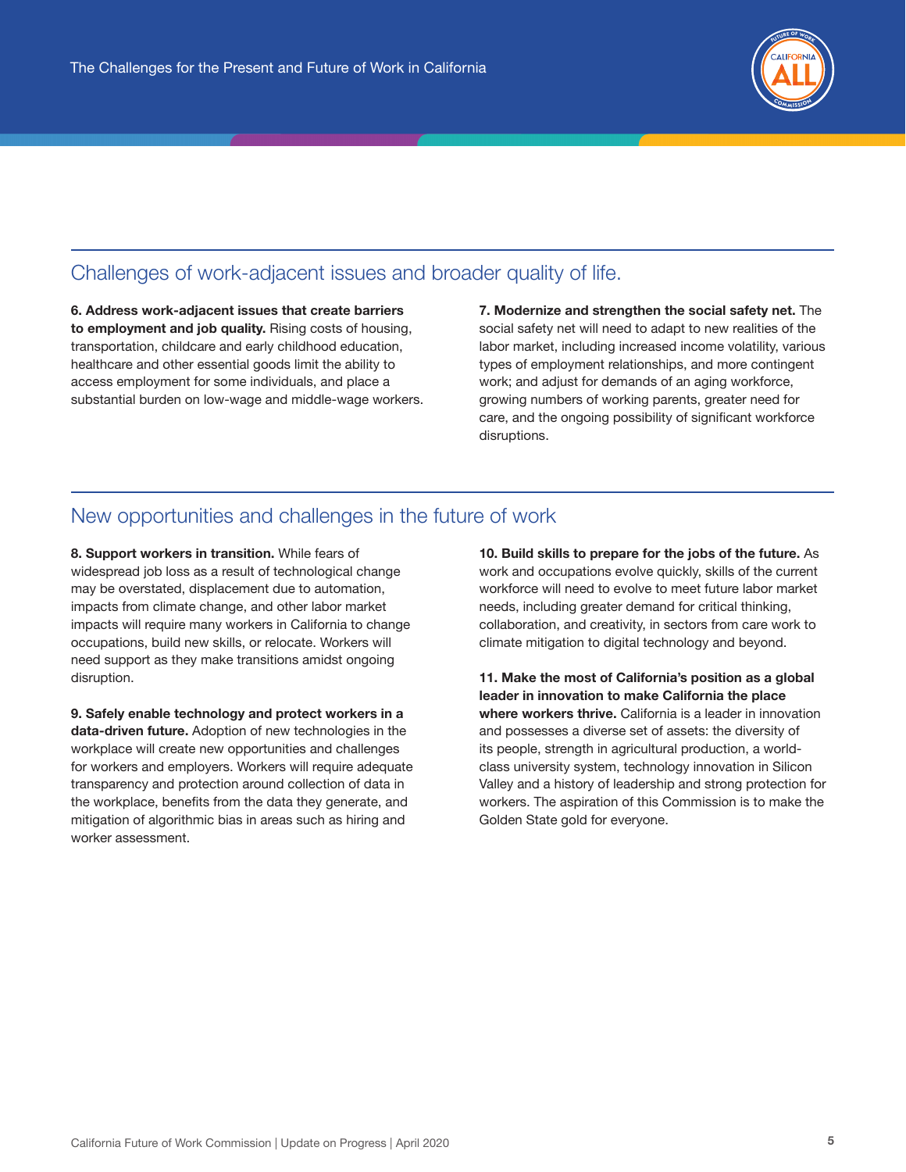

### Challenges of work-adjacent issues and broader quality of life.

6. Address work-adjacent issues that create barriers to employment and job quality. Rising costs of housing, transportation, childcare and early childhood education, healthcare and other essential goods limit the ability to access employment for some individuals, and place a substantial burden on low-wage and middle-wage workers. 7. Modernize and strengthen the social safety net. The social safety net will need to adapt to new realities of the labor market, including increased income volatility, various types of employment relationships, and more contingent work; and adjust for demands of an aging workforce, growing numbers of working parents, greater need for care, and the ongoing possibility of significant workforce disruptions.

### New opportunities and challenges in the future of work

8. Support workers in transition. While fears of widespread job loss as a result of technological change may be overstated, displacement due to automation, impacts from climate change, and other labor market impacts will require many workers in California to change occupations, build new skills, or relocate. Workers will need support as they make transitions amidst ongoing disruption.

9. Safely enable technology and protect workers in a data-driven future. Adoption of new technologies in the workplace will create new opportunities and challenges for workers and employers. Workers will require adequate transparency and protection around collection of data in the workplace, benefits from the data they generate, and mitigation of algorithmic bias in areas such as hiring and worker assessment.

10. Build skills to prepare for the jobs of the future. As work and occupations evolve quickly, skills of the current workforce will need to evolve to meet future labor market needs, including greater demand for critical thinking, collaboration, and creativity, in sectors from care work to climate mitigation to digital technology and beyond.

11. Make the most of California's position as a global leader in innovation to make California the place where workers thrive. California is a leader in innovation and possesses a diverse set of assets: the diversity of its people, strength in agricultural production, a worldclass university system, technology innovation in Silicon Valley and a history of leadership and strong protection for workers. The aspiration of this Commission is to make the Golden State gold for everyone.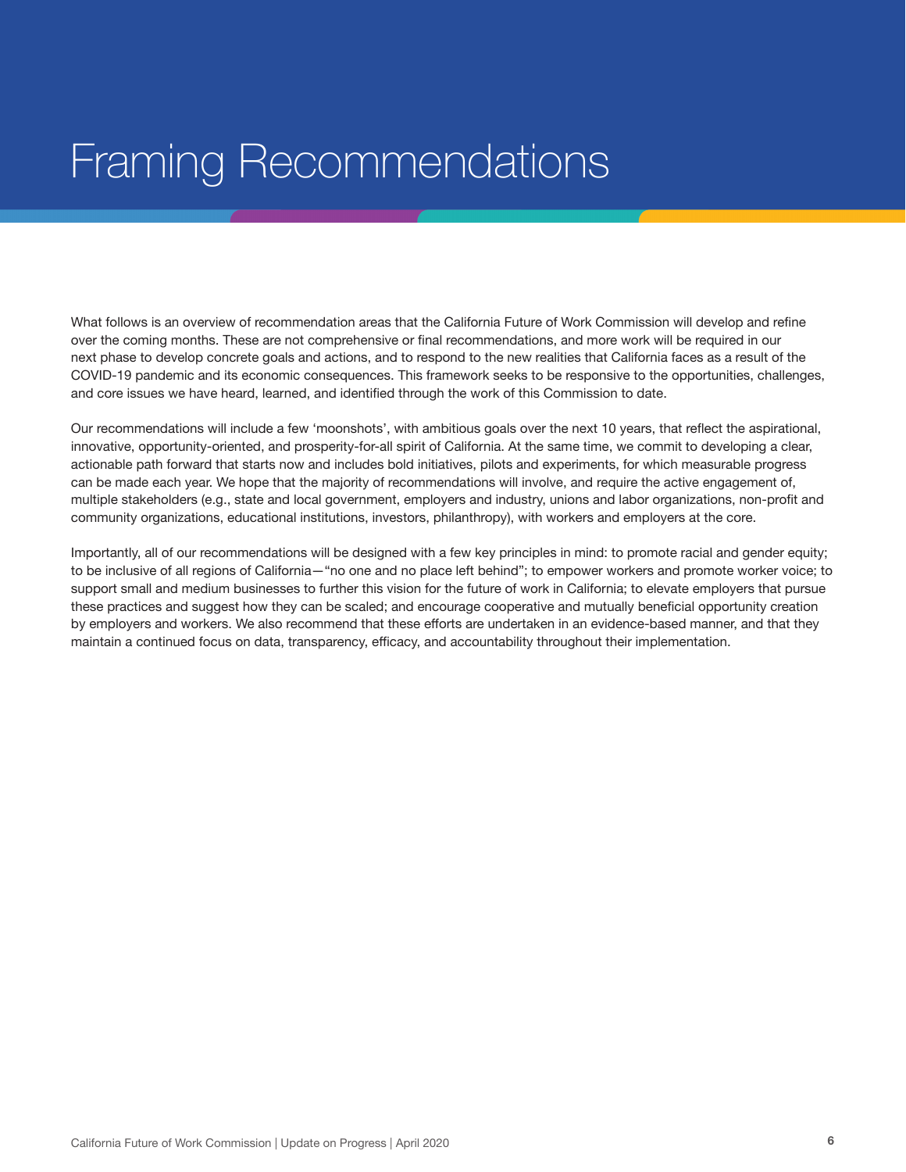## Framing Recommendations

What follows is an overview of recommendation areas that the California Future of Work Commission will develop and refine over the coming months. These are not comprehensive or final recommendations, and more work will be required in our next phase to develop concrete goals and actions, and to respond to the new realities that California faces as a result of the COVID-19 pandemic and its economic consequences. This framework seeks to be responsive to the opportunities, challenges, and core issues we have heard, learned, and identified through the work of this Commission to date.

Our recommendations will include a few 'moonshots', with ambitious goals over the next 10 years, that reflect the aspirational, innovative, opportunity-oriented, and prosperity-for-all spirit of California. At the same time, we commit to developing a clear, actionable path forward that starts now and includes bold initiatives, pilots and experiments, for which measurable progress can be made each year. We hope that the majority of recommendations will involve, and require the active engagement of, multiple stakeholders (e.g., state and local government, employers and industry, unions and labor organizations, non-profit and community organizations, educational institutions, investors, philanthropy), with workers and employers at the core.

Importantly, all of our recommendations will be designed with a few key principles in mind: to promote racial and gender equity; to be inclusive of all regions of California—"no one and no place left behind"; to empower workers and promote worker voice; to support small and medium businesses to further this vision for the future of work in California; to elevate employers that pursue these practices and suggest how they can be scaled; and encourage cooperative and mutually beneficial opportunity creation by employers and workers. We also recommend that these efforts are undertaken in an evidence-based manner, and that they maintain a continued focus on data, transparency, efficacy, and accountability throughout their implementation.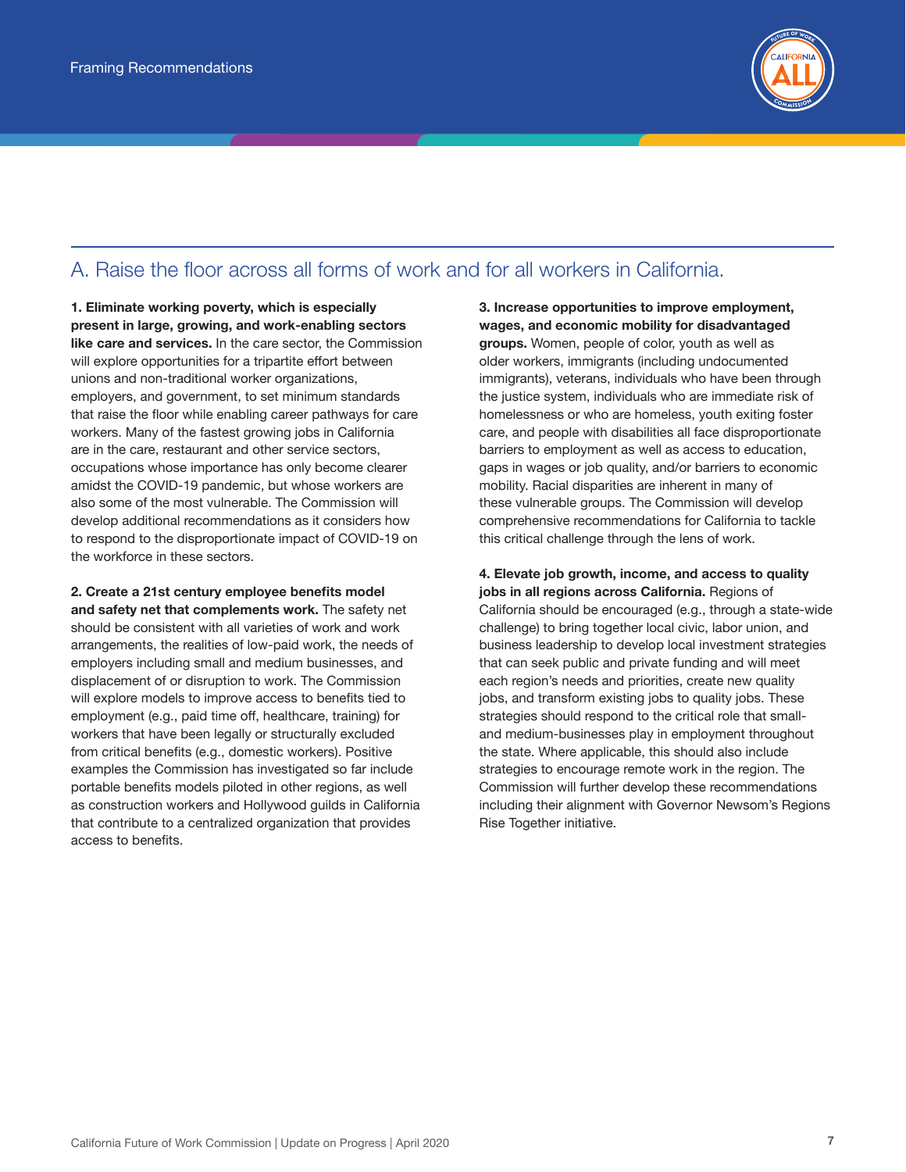

## A. Raise the floor across all forms of work and for all workers in California.

1. Eliminate working poverty, which is especially present in large, growing, and work-enabling sectors like care and services. In the care sector, the Commission will explore opportunities for a tripartite effort between unions and non-traditional worker organizations, employers, and government, to set minimum standards that raise the floor while enabling career pathways for care workers. Many of the fastest growing jobs in California are in the care, restaurant and other service sectors, occupations whose importance has only become clearer amidst the COVID-19 pandemic, but whose workers are also some of the most vulnerable. The Commission will develop additional recommendations as it considers how to respond to the disproportionate impact of COVID-19 on the workforce in these sectors.

2. Create a 21st century employee benefits model and safety net that complements work. The safety net should be consistent with all varieties of work and work arrangements, the realities of low-paid work, the needs of employers including small and medium businesses, and displacement of or disruption to work. The Commission will explore models to improve access to benefits tied to employment (e.g., paid time off, healthcare, training) for workers that have been legally or structurally excluded from critical benefits (e.g., domestic workers). Positive examples the Commission has investigated so far include portable benefits models piloted in other regions, as well as construction workers and Hollywood guilds in California that contribute to a centralized organization that provides access to benefits.

3. Increase opportunities to improve employment, wages, and economic mobility for disadvantaged groups. Women, people of color, youth as well as older workers, immigrants (including undocumented immigrants), veterans, individuals who have been through the justice system, individuals who are immediate risk of homelessness or who are homeless, youth exiting foster care, and people with disabilities all face disproportionate barriers to employment as well as access to education, gaps in wages or job quality, and/or barriers to economic mobility. Racial disparities are inherent in many of these vulnerable groups. The Commission will develop comprehensive recommendations for California to tackle this critical challenge through the lens of work.

4. Elevate job growth, income, and access to quality jobs in all regions across California. Regions of California should be encouraged (e.g., through a state-wide challenge) to bring together local civic, labor union, and business leadership to develop local investment strategies that can seek public and private funding and will meet each region's needs and priorities, create new quality jobs, and transform existing jobs to quality jobs. These strategies should respond to the critical role that smalland medium-businesses play in employment throughout the state. Where applicable, this should also include strategies to encourage remote work in the region. The Commission will further develop these recommendations including their alignment with Governor Newsom's Regions Rise Together initiative.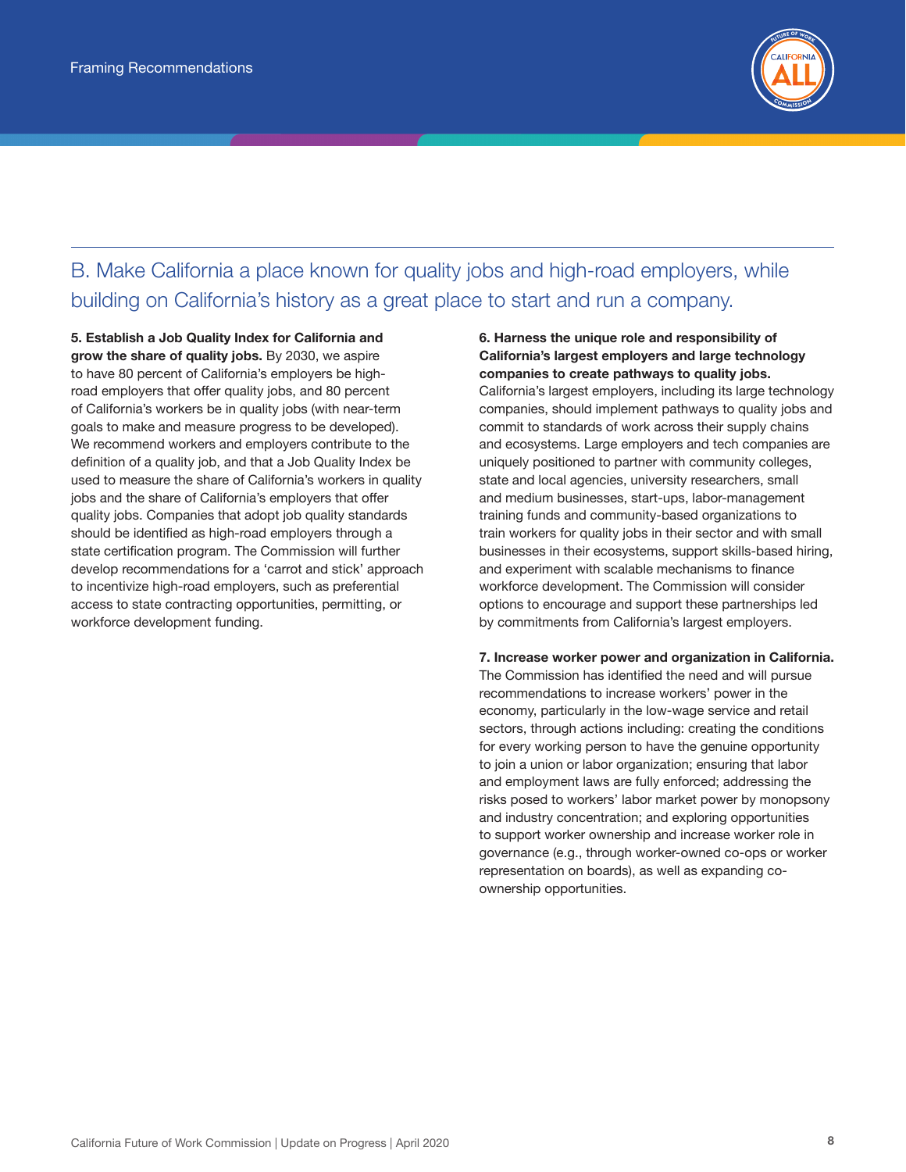

## B. Make California a place known for quality jobs and high-road employers, while building on California's history as a great place to start and run a company.

5. Establish a Job Quality Index for California and grow the share of quality jobs. By 2030, we aspire to have 80 percent of California's employers be highroad employers that offer quality jobs, and 80 percent of California's workers be in quality jobs (with near-term goals to make and measure progress to be developed). We recommend workers and employers contribute to the definition of a quality job, and that a Job Quality Index be used to measure the share of California's workers in quality jobs and the share of California's employers that offer quality jobs. Companies that adopt job quality standards should be identified as high-road employers through a state certification program. The Commission will further develop recommendations for a 'carrot and stick' approach to incentivize high-road employers, such as preferential access to state contracting opportunities, permitting, or workforce development funding.

6. Harness the unique role and responsibility of California's largest employers and large technology companies to create pathways to quality jobs. California's largest employers, including its large technology companies, should implement pathways to quality jobs and commit to standards of work across their supply chains and ecosystems. Large employers and tech companies are uniquely positioned to partner with community colleges, state and local agencies, university researchers, small and medium businesses, start-ups, labor-management training funds and community-based organizations to train workers for quality jobs in their sector and with small businesses in their ecosystems, support skills-based hiring, and experiment with scalable mechanisms to finance workforce development. The Commission will consider options to encourage and support these partnerships led by commitments from California's largest employers.

7. Increase worker power and organization in California. The Commission has identified the need and will pursue recommendations to increase workers' power in the economy, particularly in the low-wage service and retail sectors, through actions including: creating the conditions for every working person to have the genuine opportunity to join a union or labor organization; ensuring that labor and employment laws are fully enforced; addressing the risks posed to workers' labor market power by monopsony and industry concentration; and exploring opportunities to support worker ownership and increase worker role in governance (e.g., through worker-owned co-ops or worker representation on boards), as well as expanding coownership opportunities.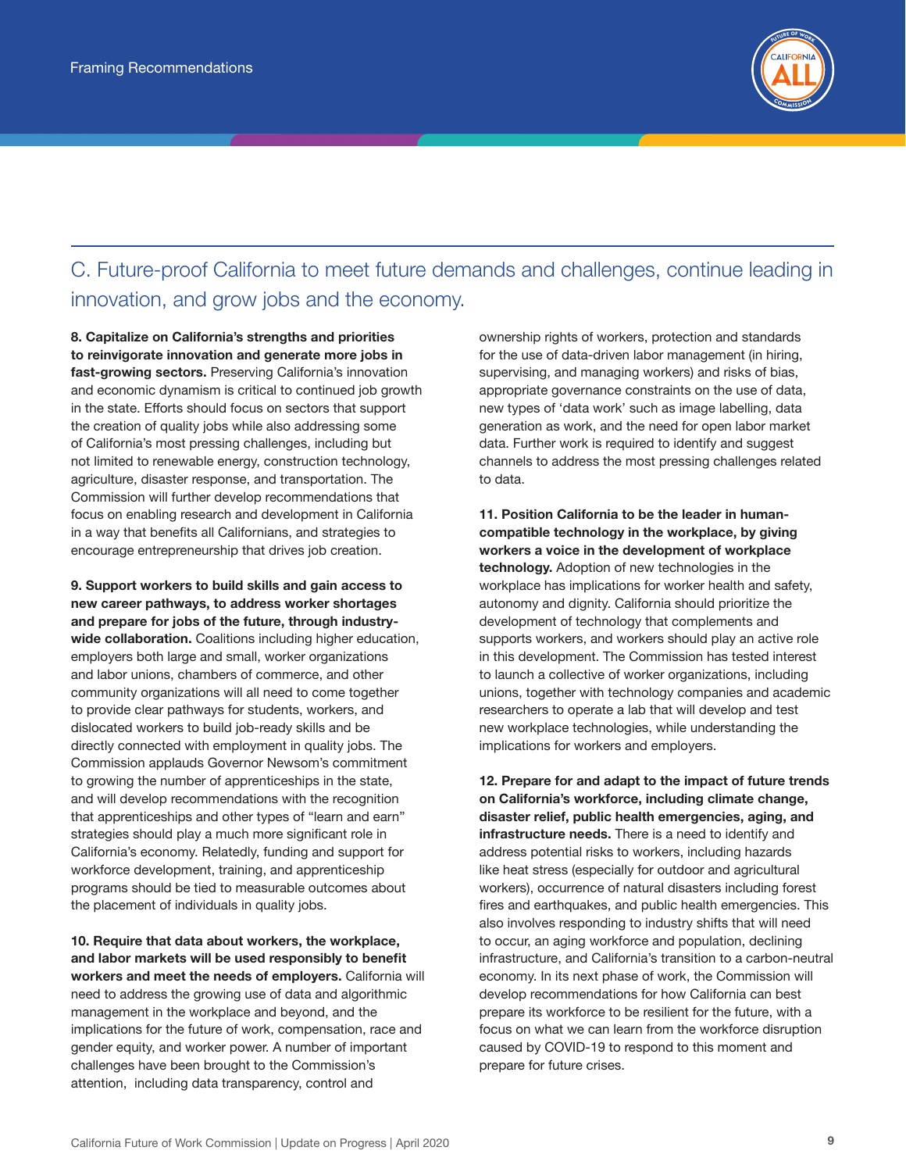

## C. Future-proof California to meet future demands and challenges, continue leading in innovation, and grow jobs and the economy.

8. Capitalize on California's strengths and priorities to reinvigorate innovation and generate more jobs in fast-growing sectors. Preserving California's innovation and economic dynamism is critical to continued job growth in the state. Efforts should focus on sectors that support the creation of quality jobs while also addressing some of California's most pressing challenges, including but not limited to renewable energy, construction technology, agriculture, disaster response, and transportation. The Commission will further develop recommendations that focus on enabling research and development in California in a way that benefits all Californians, and strategies to encourage entrepreneurship that drives job creation.

9. Support workers to build skills and gain access to new career pathways, to address worker shortages and prepare for jobs of the future, through industrywide collaboration. Coalitions including higher education, employers both large and small, worker organizations and labor unions, chambers of commerce, and other community organizations will all need to come together to provide clear pathways for students, workers, and dislocated workers to build job-ready skills and be directly connected with employment in quality jobs. The Commission applauds Governor Newsom's commitment to growing the number of apprenticeships in the state, and will develop recommendations with the recognition that apprenticeships and other types of "learn and earn" strategies should play a much more significant role in California's economy. Relatedly, funding and support for workforce development, training, and apprenticeship programs should be tied to measurable outcomes about the placement of individuals in quality jobs.

10. Require that data about workers, the workplace, and labor markets will be used responsibly to benefit workers and meet the needs of employers. California will need to address the growing use of data and algorithmic management in the workplace and beyond, and the implications for the future of work, compensation, race and gender equity, and worker power. A number of important challenges have been brought to the Commission's attention, including data transparency, control and

ownership rights of workers, protection and standards for the use of data-driven labor management (in hiring, supervising, and managing workers) and risks of bias, appropriate governance constraints on the use of data, new types of 'data work' such as image labelling, data generation as work, and the need for open labor market data. Further work is required to identify and suggest channels to address the most pressing challenges related to data.

11. Position California to be the leader in humancompatible technology in the workplace, by giving workers a voice in the development of workplace technology. Adoption of new technologies in the workplace has implications for worker health and safety, autonomy and dignity. California should prioritize the development of technology that complements and supports workers, and workers should play an active role in this development. The Commission has tested interest to launch a collective of worker organizations, including unions, together with technology companies and academic researchers to operate a lab that will develop and test new workplace technologies, while understanding the implications for workers and employers.

12. Prepare for and adapt to the impact of future trends on California's workforce, including climate change, disaster relief, public health emergencies, aging, and infrastructure needs. There is a need to identify and address potential risks to workers, including hazards like heat stress (especially for outdoor and agricultural workers), occurrence of natural disasters including forest fires and earthquakes, and public health emergencies. This also involves responding to industry shifts that will need to occur, an aging workforce and population, declining infrastructure, and California's transition to a carbon-neutral economy. In its next phase of work, the Commission will develop recommendations for how California can best prepare its workforce to be resilient for the future, with a focus on what we can learn from the workforce disruption caused by COVID-19 to respond to this moment and prepare for future crises.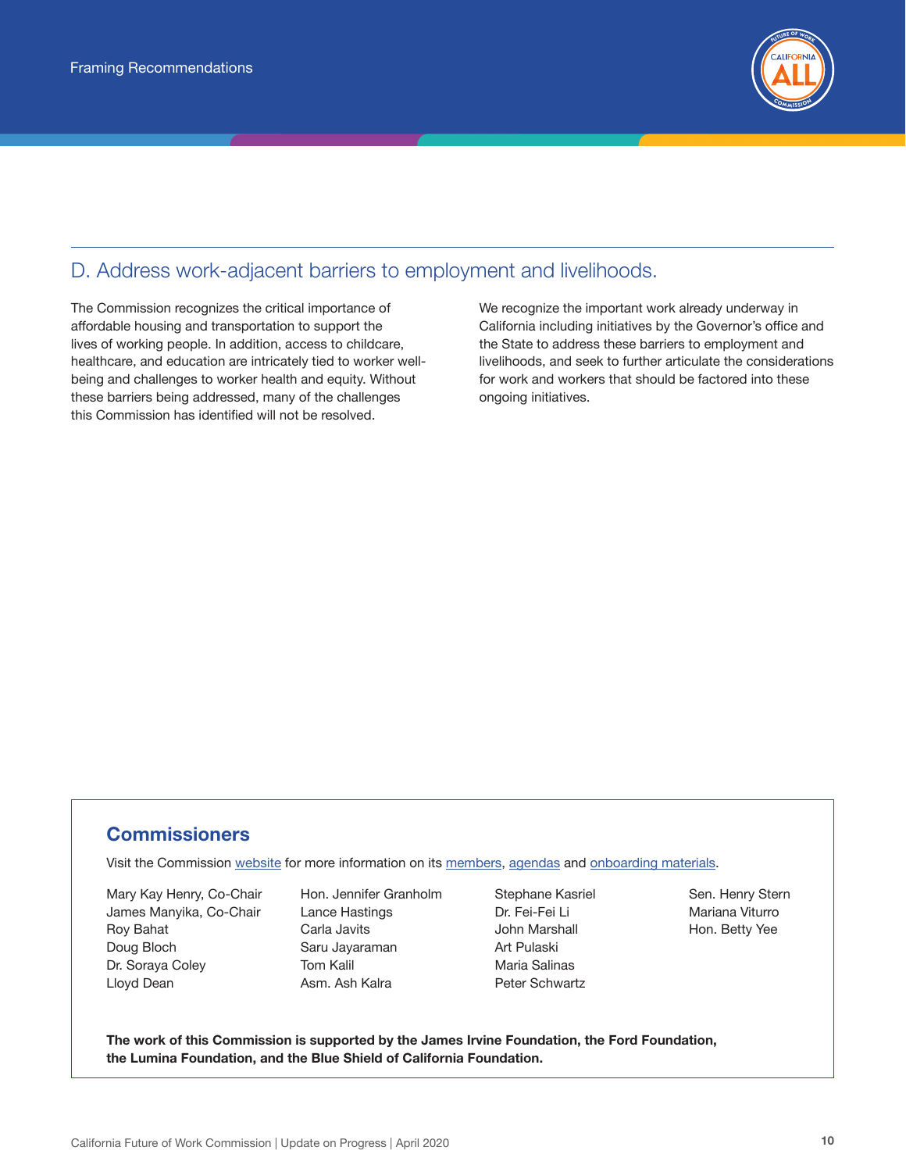

### D. Address work-adjacent barriers to employment and livelihoods.

The Commission recognizes the critical importance of affordable housing and transportation to support the lives of working people. In addition, access to childcare, healthcare, and education are intricately tied to worker wellbeing and challenges to worker health and equity. Without these barriers being addressed, many of the challenges this Commission has identified will not be resolved.

We recognize the important work already underway in California including initiatives by the Governor's office and the State to address these barriers to employment and livelihoods, and seek to further articulate the considerations for work and workers that should be factored into these ongoing initiatives.

#### **Commissioners**

Visit the Commission [website](https://labor.ca.gov/fowc/) for more information on its [members](https://labor.ca.gov/fowc/members.htm), [agendas](https://labor.ca.gov/fowc/meetings.htm#) and [onboarding materials.](https://labor.ca.gov/fowc/pdf/CA_Future_of_Work_Commission-onboarding.pdf)

Mary Kay Henry, Co-Chair James Manyika, Co-Chair Roy Bahat Doug Bloch Dr. Soraya Coley Lloyd Dean

Hon. Jennifer Granholm Lance Hastings Carla Javits Saru Jayaraman Tom Kalil Asm. Ash Kalra

Stephane Kasriel Dr. Fei-Fei Li John Marshall Art Pulaski Maria Salinas Peter Schwartz

Sen. Henry Stern Mariana Viturro Hon. Betty Yee

The work of this Commission is supported by the James Irvine Foundation, the Ford Foundation, the Lumina Foundation, and the Blue Shield of California Foundation.